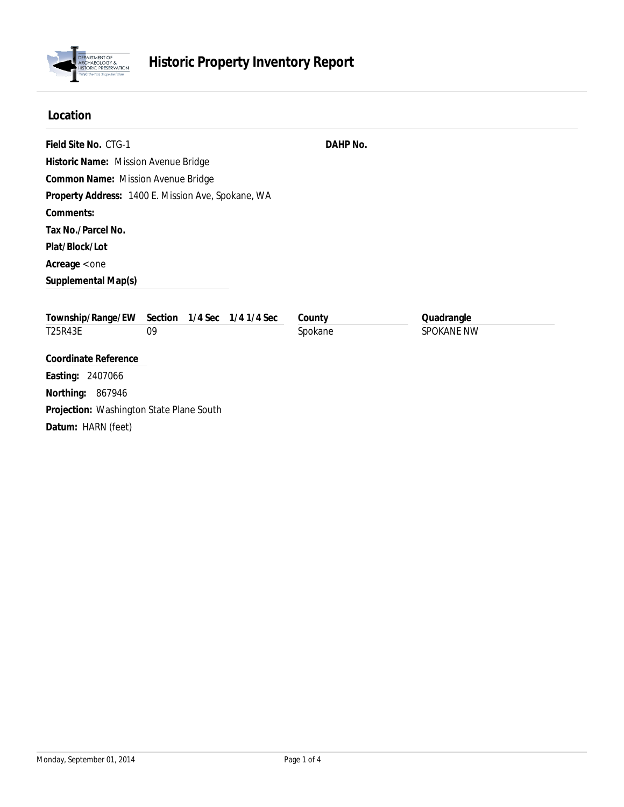

## **Location**

| Field Site No. CTG-1                               |         |  |                     | DAHP No. |            |
|----------------------------------------------------|---------|--|---------------------|----------|------------|
| Historic Name: Mission Avenue Bridge               |         |  |                     |          |            |
| Common Name: Mission Avenue Bridge                 |         |  |                     |          |            |
| Property Address: 1400 E. Mission Ave, Spokane, WA |         |  |                     |          |            |
| Comments:                                          |         |  |                     |          |            |
| Tax No./Parcel No.                                 |         |  |                     |          |            |
| Plat/Block/Lot                                     |         |  |                     |          |            |
| Average < one                                      |         |  |                     |          |            |
| Supplemental Map(s)                                |         |  |                     |          |            |
| Township/Range/EW                                  | Section |  | 1/4 Sec 1/4 1/4 Sec | County   | Quadrangle |
| T25R43E                                            | 09      |  |                     | Spokane  | SPOKANE NW |
| <b>Coordinate Reference</b>                        |         |  |                     |          |            |
| Easting: 2407066                                   |         |  |                     |          |            |
| Northing: 867946                                   |         |  |                     |          |            |
| Projection: Washington State Plane South           |         |  |                     |          |            |
| Datum: HARN (feet)                                 |         |  |                     |          |            |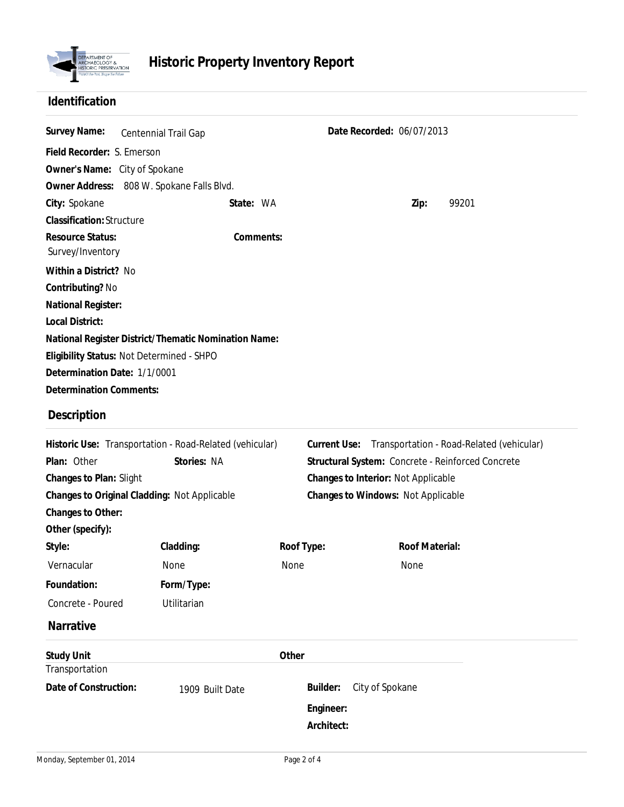

## **Identification**

| Survey Name:                                         | Centennial Trail Gap |           | Date Recorded: 06/07/2013 |      |       |  |  |
|------------------------------------------------------|----------------------|-----------|---------------------------|------|-------|--|--|
| Field Recorder: S. Emerson                           |                      |           |                           |      |       |  |  |
| Owner's Name: City of Spokane                        |                      |           |                           |      |       |  |  |
| Owner Address: 808 W. Spokane Falls Blvd.            |                      |           |                           |      |       |  |  |
| City: Spokane                                        |                      | State: WA |                           | Zip: | 99201 |  |  |
| Classification: Structure                            |                      |           |                           |      |       |  |  |
| Resource Status:<br>Survey/Inventory                 |                      | Comments: |                           |      |       |  |  |
| Within a District? No                                |                      |           |                           |      |       |  |  |
| Contributing? No                                     |                      |           |                           |      |       |  |  |
| National Register:                                   |                      |           |                           |      |       |  |  |
| Local District:                                      |                      |           |                           |      |       |  |  |
| National Register District/Thematic Nomination Name: |                      |           |                           |      |       |  |  |
| Eligibility Status: Not Determined - SHPO            |                      |           |                           |      |       |  |  |
| Determination Date: 1/1/0001                         |                      |           |                           |      |       |  |  |
| <b>Determination Comments:</b>                       |                      |           |                           |      |       |  |  |

## **Description**

| Plan: Other<br>Changes to Plan: Slight       | Historic Use: Transportation - Road-Related (vehicular)<br>Stories: NA | Current Use: | Transportation - Road-Related (vehicular)<br>Structural System: Concrete - Reinforced Concrete<br>Changes to Interior: Not Applicable |  |  |  |
|----------------------------------------------|------------------------------------------------------------------------|--------------|---------------------------------------------------------------------------------------------------------------------------------------|--|--|--|
| Changes to Original Cladding: Not Applicable |                                                                        |              | Changes to Windows: Not Applicable                                                                                                    |  |  |  |
| Changes to Other:                            |                                                                        |              |                                                                                                                                       |  |  |  |
| Other (specify):                             |                                                                        |              |                                                                                                                                       |  |  |  |
| Style:                                       | Cladding:                                                              | Roof Type:   | Roof Material:                                                                                                                        |  |  |  |
| Vernacular                                   | <b>None</b>                                                            | None         | <b>None</b>                                                                                                                           |  |  |  |
| Foundation:                                  | Form/Type:                                                             |              |                                                                                                                                       |  |  |  |
| Concrete - Poured                            | Utilitarian                                                            |              |                                                                                                                                       |  |  |  |
| <b>Narrative</b>                             |                                                                        |              |                                                                                                                                       |  |  |  |
| <b>Study Unit</b>                            |                                                                        | Other        |                                                                                                                                       |  |  |  |
| Transportation                               |                                                                        |              |                                                                                                                                       |  |  |  |
| Date of Construction:                        | 1909 Built Date                                                        | Builder:     | City of Spokane                                                                                                                       |  |  |  |
|                                              |                                                                        | Engineer:    |                                                                                                                                       |  |  |  |
|                                              |                                                                        | Architect:   |                                                                                                                                       |  |  |  |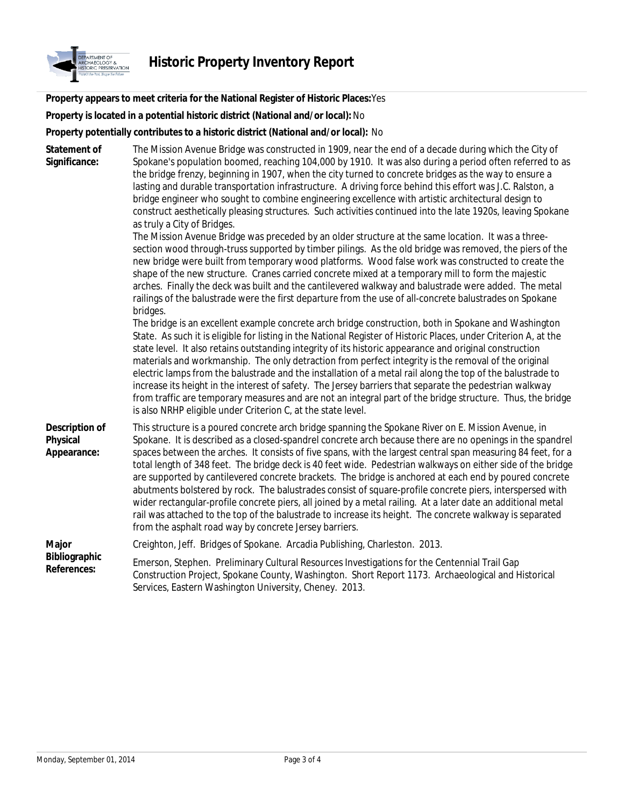

**Property appears to meet criteria for the National Register of Historic Places:**Yes

**Property is located in a potential historic district (National and/or local):** No

**Property potentially contributes to a historic district (National and/or local):** No

Emerson, Stephen. Preliminary Cultural Resources Investigations for the Centennial Trail Gap Construction Project, Spokane County, Washington. Short Report 1173. Archaeological and Historical Services, Eastern Washington University, Cheney. 2013. **Major** Creighton, Jeff. Bridges of Spokane. Arcadia Publishing, Charleston. 2013. **Bibliographic References:** This structure is a poured concrete arch bridge spanning the Spokane River on E. Mission Avenue, in Spokane. It is described as a closed-spandrel concrete arch because there are no openings in the spandrel spaces between the arches. It consists of five spans, with the largest central span measuring 84 feet, for a total length of 348 feet. The bridge deck is 40 feet wide. Pedestrian walkways on either side of the bridge are supported by cantilevered concrete brackets. The bridge is anchored at each end by poured concrete abutments bolstered by rock. The balustrades consist of square-profile concrete piers, interspersed with wider rectangular-profile concrete piers, all joined by a metal railing. At a later date an additional metal rail was attached to the top of the balustrade to increase its height. The concrete walkway is separated from the asphalt road way by concrete Jersey barriers. **Description of Physical Appearance:** The bridge is an excellent example concrete arch bridge construction, both in Spokane and Washington State. As such it is eligible for listing in the National Register of Historic Places, under Criterion A, at the state level. It also retains outstanding integrity of its historic appearance and original construction materials and workmanship. The only detraction from perfect integrity is the removal of the original electric lamps from the balustrade and the installation of a metal rail along the top of the balustrade to increase its height in the interest of safety. The Jersey barriers that separate the pedestrian walkway from traffic are temporary measures and are not an integral part of the bridge structure. Thus, the bridge is also NRHP eligible under Criterion C, at the state level. The Mission Avenue Bridge was preceded by an older structure at the same location. It was a threesection wood through-truss supported by timber pilings. As the old bridge was removed, the piers of the new bridge were built from temporary wood platforms. Wood false work was constructed to create the shape of the new structure. Cranes carried concrete mixed at a temporary mill to form the majestic arches. Finally the deck was built and the cantilevered walkway and balustrade were added. The metal railings of the balustrade were the first departure from the use of all-concrete balustrades on Spokane bridges. The Mission Avenue Bridge was constructed in 1909, near the end of a decade during which the City of Spokane's population boomed, reaching 104,000 by 1910. It was also during a period often referred to as the bridge frenzy, beginning in 1907, when the city turned to concrete bridges as the way to ensure a lasting and durable transportation infrastructure. A driving force behind this effort was J.C. Ralston, a bridge engineer who sought to combine engineering excellence with artistic architectural design to construct aesthetically pleasing structures. Such activities continued into the late 1920s, leaving Spokane as truly a City of Bridges. **Statement of Significance:**